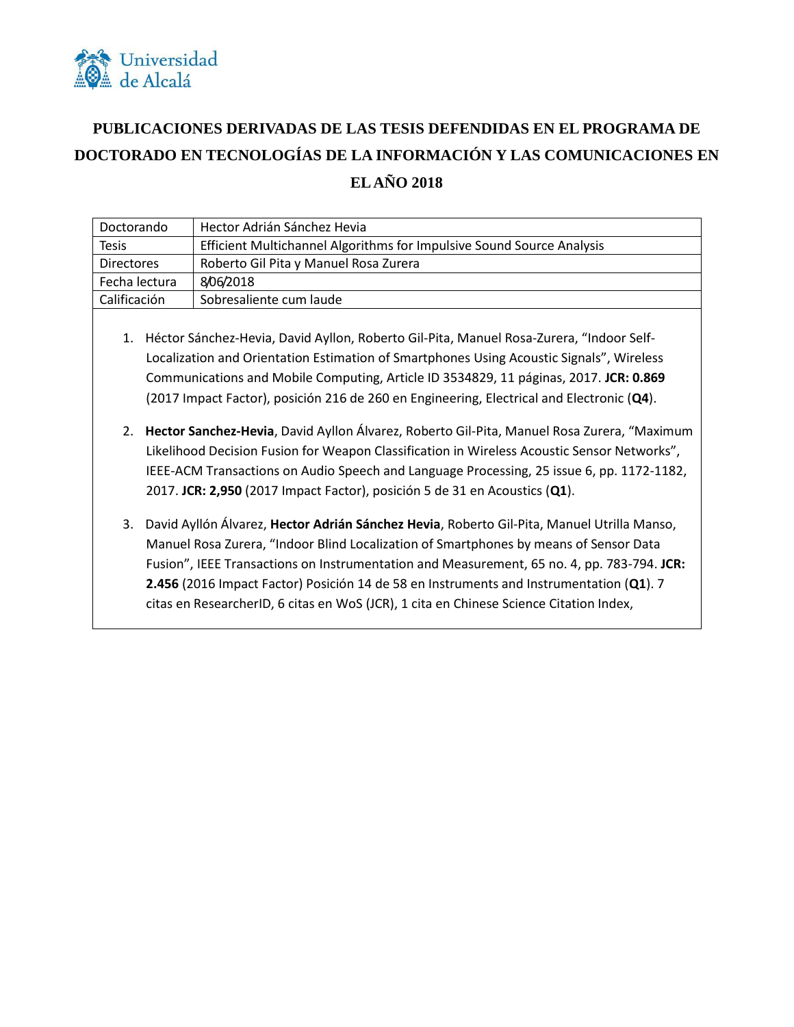

## **PUBLICACIONES DERIVADAS DE LAS TESIS DEFENDIDAS EN EL PROGRAMA DE DOCTORADO EN TECNOLOGÍAS DE LA INFORMACIÓN Y LAS COMUNICACIONES EN EL AÑO 2018**

| Doctorando                                                                                                                                                                                                                                                                                                                                                                      | Hector Adrián Sánchez Hevia                                                                                                                                                                                                                                                                                                                                                  |
|---------------------------------------------------------------------------------------------------------------------------------------------------------------------------------------------------------------------------------------------------------------------------------------------------------------------------------------------------------------------------------|------------------------------------------------------------------------------------------------------------------------------------------------------------------------------------------------------------------------------------------------------------------------------------------------------------------------------------------------------------------------------|
| <b>Tesis</b>                                                                                                                                                                                                                                                                                                                                                                    | Efficient Multichannel Algorithms for Impulsive Sound Source Analysis                                                                                                                                                                                                                                                                                                        |
| <b>Directores</b>                                                                                                                                                                                                                                                                                                                                                               | Roberto Gil Pita y Manuel Rosa Zurera                                                                                                                                                                                                                                                                                                                                        |
| Fecha lectura                                                                                                                                                                                                                                                                                                                                                                   | 8/06/2018                                                                                                                                                                                                                                                                                                                                                                    |
| Calificación                                                                                                                                                                                                                                                                                                                                                                    | Sobresaliente cum laude                                                                                                                                                                                                                                                                                                                                                      |
| Héctor Sánchez-Hevia, David Ayllon, Roberto Gil-Pita, Manuel Rosa-Zurera, "Indoor Self-<br>1.<br>Localization and Orientation Estimation of Smartphones Using Acoustic Signals", Wireless<br>Communications and Mobile Computing, Article ID 3534829, 11 páginas, 2017. JCR: 0.869<br>(2017 Impact Factor), posición 216 de 260 en Engineering, Electrical and Electronic (Q4). |                                                                                                                                                                                                                                                                                                                                                                              |
| 2.                                                                                                                                                                                                                                                                                                                                                                              | Hector Sanchez-Hevia, David Ayllon Álvarez, Roberto Gil-Pita, Manuel Rosa Zurera, "Maximum<br>Likelihood Decision Fusion for Weapon Classification in Wireless Acoustic Sensor Networks",<br>IEEE-ACM Transactions on Audio Speech and Language Processing, 25 issue 6, pp. 1172-1182,<br>2017. JCR: 2,950 (2017 Impact Factor), posición 5 de 31 en Acoustics (Q1).         |
| 3.                                                                                                                                                                                                                                                                                                                                                                              | David Ayllón Álvarez, Hector Adrián Sánchez Hevia, Roberto Gil-Pita, Manuel Utrilla Manso,<br>Manuel Rosa Zurera, "Indoor Blind Localization of Smartphones by means of Sensor Data<br>Fusion", IEEE Transactions on Instrumentation and Measurement, 65 no. 4, pp. 783-794. JCR:<br>2.456 (2016 Impact Factor) Posición 14 de 58 en Instruments and Instrumentation (Q1). 7 |

citas en ResearcherID, 6 citas en WoS (JCR), 1 cita en Chinese Science Citation Index,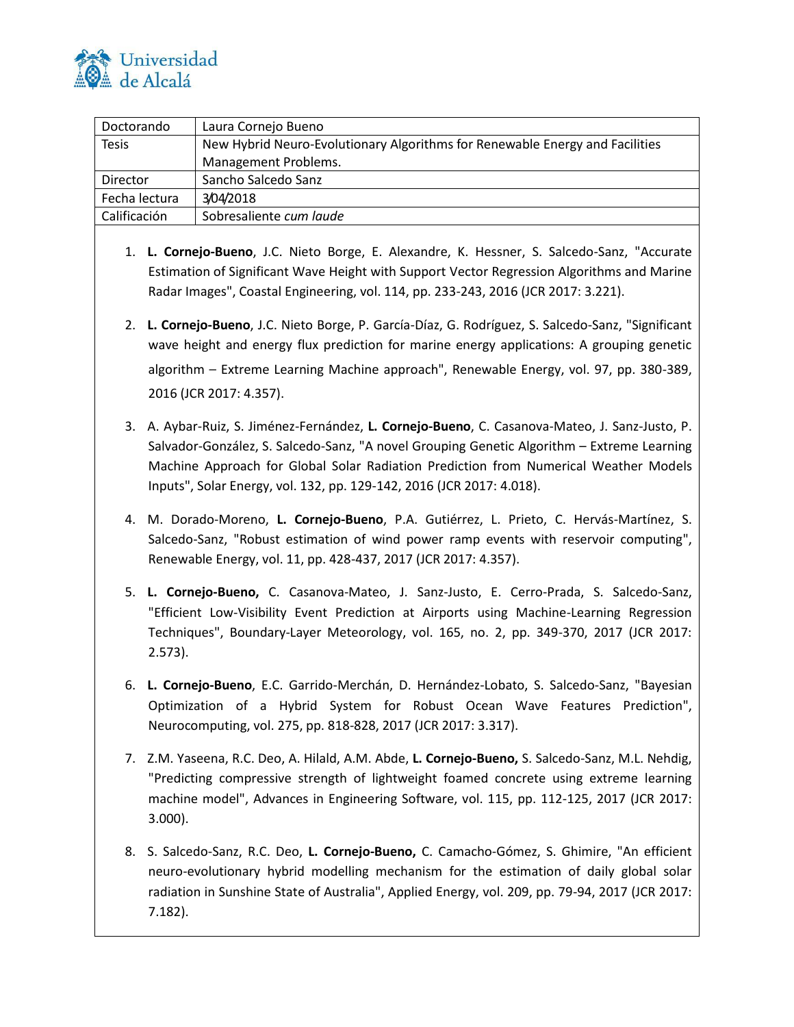

| Doctorando    | Laura Cornejo Bueno                                                          |
|---------------|------------------------------------------------------------------------------|
| <b>Tesis</b>  | New Hybrid Neuro-Evolutionary Algorithms for Renewable Energy and Facilities |
|               | Management Problems.                                                         |
| Director      | Sancho Salcedo Sanz                                                          |
| Fecha lectura | 3/04/2018                                                                    |
| Calificación  | Sobresaliente cum laude                                                      |

- 1. **L. Cornejo-Bueno**, J.C. Nieto Borge, E. Alexandre, K. Hessner, S. Salcedo-Sanz, "Accurate Estimation of Significant Wave Height with Support Vector Regression Algorithms and Marine Radar Images", Coastal Engineering, vol. 114, pp. 233-243, 2016 (JCR 2017: 3.221).
- 2. **L. Cornejo-Bueno**, J.C. Nieto Borge, P. García-Díaz, G. Rodríguez, S. Salcedo-Sanz, "Significant wave height and energy flux prediction for marine energy applications: A grouping genetic algorithm – Extreme Learning Machine approach", Renewable Energy, vol. 97, pp. 380-389, 2016 (JCR 2017: 4.357).
- 3. A. Aybar-Ruiz, S. Jiménez-Fernández, **L. Cornejo-Bueno**, C. Casanova-Mateo, J. Sanz-Justo, P. Salvador-González, S. Salcedo-Sanz, "A novel Grouping Genetic Algorithm – Extreme Learning Machine Approach for Global Solar Radiation Prediction from Numerical Weather Models Inputs", Solar Energy, vol. 132, pp. 129-142, 2016 (JCR 2017: 4.018).
- 4. M. Dorado-Moreno, **L. Cornejo-Bueno**, P.A. Gutiérrez, L. Prieto, C. Hervás-Martínez, S. Salcedo-Sanz, ["Robust estimation of wind power ramp events with reservoir computing"](https://scholar.google.es/citations?view_op=view_citation&hl=es&user=1f3inBoAAAAJ&citation_for_view=1f3inBoAAAAJ:zYLM7Y9cAGgC), Renewable Energy, vol. 11, pp. 428-437, 2017 (JCR 2017: 4.357).
- 5. **L. Cornejo-Bueno,** C. Casanova-Mateo, J. Sanz-Justo, E. Cerro-Prada, S. Salcedo-San[z,](https://scholar.google.es/citations?view_op=view_citation&hl=es&user=1f3inBoAAAAJ&citation_for_view=1f3inBoAAAAJ:zYLM7Y9cAGgC) ["Efficient Low-Visibility Event Prediction at Airports using Machine-Learning Regression](https://scholar.google.es/citations?view_op=view_citation&hl=es&user=1f3inBoAAAAJ&citation_for_view=1f3inBoAAAAJ:zYLM7Y9cAGgC)  [Techniques"](https://scholar.google.es/citations?view_op=view_citation&hl=es&user=1f3inBoAAAAJ&citation_for_view=1f3inBoAAAAJ:zYLM7Y9cAGgC), [Boundary-Layer Meteorology,](https://link.springer.com/journal/10546) vol. 165, no. 2, pp. 349-370, 2017 (JCR 2017: 2.573).
- 6. **L. Cornejo-Bueno**, E.C. Garrido-Merchán, D. Hernández-Lobato, S. Salcedo-Sanz, ["Bayesian](https://scholar.google.es/citations?view_op=view_citation&hl=es&user=1f3inBoAAAAJ&citation_for_view=1f3inBoAAAAJ:zYLM7Y9cAGgC)  [Optimization of a Hybrid System for Robust Ocean Wave Features Prediction"](https://scholar.google.es/citations?view_op=view_citation&hl=es&user=1f3inBoAAAAJ&citation_for_view=1f3inBoAAAAJ:zYLM7Y9cAGgC), Neurocomputing, vol. 275, pp. 818-828, 2017 (JCR 2017: 3.317).
- 7. Z.M. Yaseena, R.C. Deo, A. Hilald, A.M. Abde, **L. Cornejo-Bueno,** S. Salcedo-Sanz, M.L. Nehdig, "Predicting compressive strength of lightweight foamed concrete using extreme learning machine model", Advances in Engineering Software, vol. 115, pp. 112-125, 2017 (JCR 2017: 3.000).
- 8. S. Salcedo-Sanz, R.C. Deo, **L. Cornejo-Bueno,** C. Camacho-Gómez, S. Ghimire, "An efficient neuro-evolutionary hybrid modelling mechanism for the estimation of daily global solar radiation in Sunshine State of Australia", Applied Energy, vol. 209, pp. 79-94, 2017 (JCR 2017: 7.182).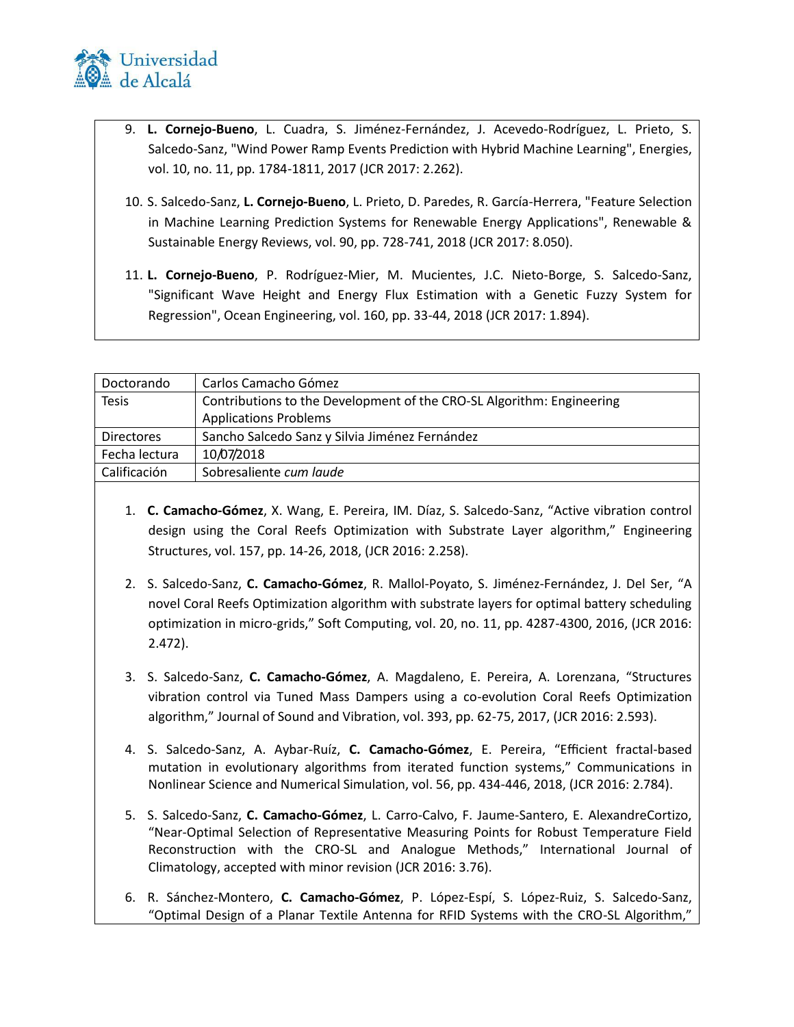

- 9. **L. Cornejo-Bueno**, L. Cuadra, S. Jiménez-Fernández, J. Acevedo-Rodríguez, L. Prieto, S. Salcedo-Sanz, "Wind Power Ramp Events Prediction with Hybrid Machine Learning", Energies, vol. 10, no. 11, pp. 1784-1811, 2017 (JCR 2017: 2.262).
- 10. S. Salcedo-Sanz, **L. Cornejo-Bueno**, L. Prieto, D. Paredes, R. García-Herrera, "Feature Selection in Machine Learning Prediction Systems for Renewable Energy Applications", Renewable & Sustainable Energy Reviews, vol. 90, pp. 728-741, 2018 (JCR 2017: 8.050).
- 11. **L. Cornejo-Bueno**, P. Rodríguez-Mier, M. Mucientes, J.C. Nieto-Borge, S. Salcedo-Sanz, "Significant Wave Height and Energy Flux Estimation with a Genetic Fuzzy System for Regression", Ocean Engineering, vol. 160, pp. 33-44, 2018 (JCR 2017: 1.894).

| Doctorando        | Carlos Camacho Gómez                                                  |
|-------------------|-----------------------------------------------------------------------|
| <b>Tesis</b>      | Contributions to the Development of the CRO-SL Algorithm: Engineering |
|                   | <b>Applications Problems</b>                                          |
| <b>Directores</b> | Sancho Salcedo Sanz y Silvia Jiménez Fernández                        |
| Fecha lectura     | 10/07/2018                                                            |
| Calificación      | Sobresaliente cum laude                                               |
|                   |                                                                       |

- 1. **C. Camacho-Gómez**, X. Wang, E. Pereira, IM. Díaz, S. Salcedo-Sanz, "Active vibration control design using the Coral Reefs Optimization with Substrate Layer algorithm," Engineering Structures, vol. 157, pp. 14-26, 2018, (JCR 2016: 2.258).
- 2. S. Salcedo-Sanz, **C. Camacho-Gómez**, R. Mallol-Poyato, S. Jiménez-Fernández, J. Del Ser, "A novel Coral Reefs Optimization algorithm with substrate layers for optimal battery scheduling optimization in micro-grids," Soft Computing, vol. 20, no. 11, pp. 4287-4300, 2016, (JCR 2016: 2.472).
- 3. S. Salcedo-Sanz, **C. Camacho-Gómez**, A. Magdaleno, E. Pereira, A. Lorenzana, "Structures vibration control via Tuned Mass Dampers using a co-evolution Coral Reefs Optimization algorithm," Journal of Sound and Vibration, vol. 393, pp. 62-75, 2017, (JCR 2016: 2.593).
- 4. S. Salcedo-Sanz, A. Aybar-Ruíz, **C. Camacho-Gómez**, E. Pereira, "Efficient fractal-based mutation in evolutionary algorithms from iterated function systems," Communications in Nonlinear Science and Numerical Simulation, vol. 56, pp. 434-446, 2018, (JCR 2016: 2.784).
- 5. S. Salcedo-Sanz, **C. Camacho-Gómez**, L. Carro-Calvo, F. Jaume-Santero, E. AlexandreCortizo, "Near-Optimal Selection of Representative Measuring Points for Robust Temperature Field Reconstruction with the CRO-SL and Analogue Methods," International Journal of Climatology, accepted with minor revision (JCR 2016: 3.76).
- 6. R. Sánchez-Montero, **C. Camacho-Gómez**, P. López-Espí, S. López-Ruiz, S. Salcedo-Sanz, "Optimal Design of a Planar Textile Antenna for RFID Systems with the CRO-SL Algorithm,"